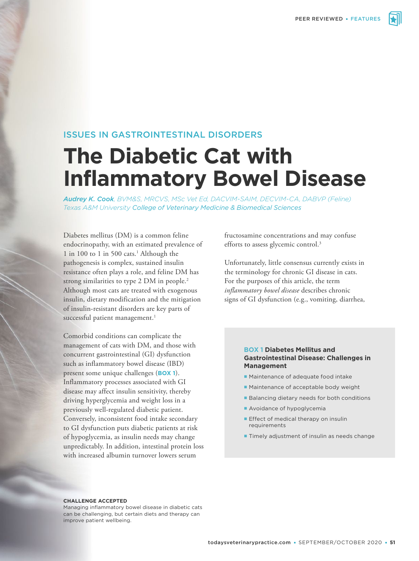

# ISSUES IN GASTROINTESTINAL DISORDERS

# **The Diabetic Cat with Inflammatory Bowel Disease**

*Audrey K. Cook, BVM&S, MRCVS, MSc Vet Ed, DACVIM-SAIM, DECVIM-CA, DABVP (Feline) Texas A&M University College of Veterinary Medicine & Biomedical Sciences*

Diabetes mellitus (DM) is a common feline endocrinopathy, with an estimated prevalence of 1 in 100 to 1 in 500 cats.<sup>1</sup> Although the pathogenesis is complex, sustained insulin resistance often plays a role, and feline DM has strong similarities to type 2 DM in people.<sup>2</sup> Although most cats are treated with exogenous insulin, dietary modification and the mitigation of insulin-resistant disorders are key parts of successful patient management.<sup>1</sup>

Comorbid conditions can complicate the management of cats with DM, and those with concurrent gastrointestinal (GI) dysfunction such as inflammatory bowel disease (IBD) present some unique challenges (**BOX 1**). Inflammatory processes associated with GI disease may affect insulin sensitivity, thereby driving hyperglycemia and weight loss in a previously well-regulated diabetic patient. Conversely, inconsistent food intake secondary to GI dysfunction puts diabetic patients at risk of hypoglycemia, as insulin needs may change unpredictably. In addition, intestinal protein loss with increased albumin turnover lowers serum

fructosamine concentrations and may confuse efforts to assess glycemic control.<sup>3</sup>

Unfortunately, little consensus currently exists in the terminology for chronic GI disease in cats. For the purposes of this article, the term *inflammatory bowel disease* describes chronic signs of GI dysfunction (e.g., vomiting, diarrhea,

#### **BOX 1 Diabetes Mellitus and Gastrointestinal Disease: Challenges in Management**

- **Maintenance of adequate food intake**
- Maintenance of acceptable body weight
- **Balancing dietary needs for both conditions**
- Avoidance of hypoglycemia
- **Effect of medical therapy on insulin** requirements
- **Timely adjustment of insulin as needs change**

#### **CHALLENGE ACCEPTED**

Managing inflammatory bowel disease in diabetic cats can be challenging, but certain diets and therapy can improve patient wellbeing.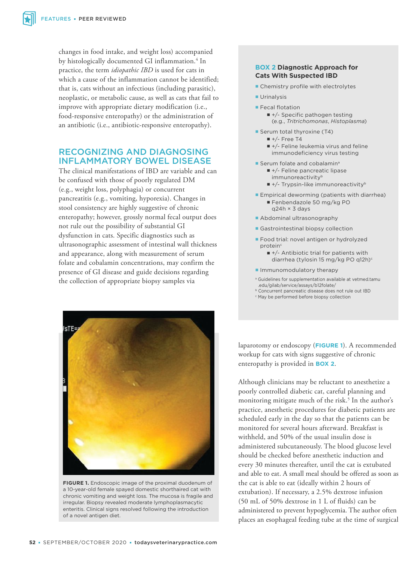changes in food intake, and weight loss) accompanied by histologically documented GI inflammation.<sup>4</sup> In practice, the term *idiopathic IBD* is used for cats in which a cause of the inflammation cannot be identified; that is, cats without an infectious (including parasitic), neoplastic, or metabolic cause, as well as cats that fail to improve with appropriate dietary modification (i.e., food-responsive enteropathy) or the administration of an antibiotic (i.e., antibiotic-responsive enteropathy).

## RECOGNIZING AND DIAGNOSING INFLAMMATORY BOWEL DISEASE

The clinical manifestations of IBD are variable and can be confused with those of poorly regulated DM (e.g., weight loss, polyphagia) or concurrent pancreatitis (e.g., vomiting, hyporexia). Changes in stool consistency are highly suggestive of chronic enteropathy; however, grossly normal fecal output does not rule out the possibility of substantial GI dysfunction in cats. Specific diagnostics such as ultrasonographic assessment of intestinal wall thickness and appearance, along with measurement of serum folate and cobalamin concentrations, may confirm the presence of GI disease and guide decisions regarding the collection of appropriate biopsy samples via



**FIGURE 1.** Endoscopic image of the proximal duodenum of a 10-year-old female spayed domestic shorthaired cat with chronic vomiting and weight loss. The mucosa is fragile and irregular. Biopsy revealed moderate lymphoplasmacytic enteritis. Clinical signs resolved following the introduction of a novel antigen diet.

#### **BOX 2 Diagnostic Approach for Cats With Suspected IBD**

- Chemistry profile with electrolytes
- **Urinalysis**
- **Fecal flotation** 
	- +/- Specific pathogen testing (e.g., *Tritrichomonas*, *Histoplasma*)
- Serum total thyroxine (T4)
	- $+/-$  Free T4
	- $+/-$  Feline leukemia virus and feline immunodeficiency virus testing
- **Serum folate and cobalaminal** 
	- +/- Feline pancreatic lipase immunoreactivity<sup>b</sup>
	- $+/-$  Trypsin-like immunoreactivity<sup>b</sup>
- **Empirical deworming (patients with diarrhea)** Fenbendazole 50 mg/kg PO q24h × 3 days
- **Abdominal ultrasonography**
- **Gastrointestinal biopsy collection**
- **Food trial: novel antigen or hydrolyzed** proteing
	- $+/-$  Antibiotic trial for patients with diarrhea (tylosin 15 mg/kg PO q12h)<sup>c</sup>
- **Immunomodulatory therapy**
- a Guidelines for supplementation available at vetmed.tamu .edu/gilab/service/assays/b12folate/
- b Concurrent pancreatic disease does not rule out IBD
- c May be performed before biopsy collection

laparotomy or endoscopy (**FIGURE 1**). A recommended workup for cats with signs suggestive of chronic enteropathy is provided in **BOX 2**.

Although clinicians may be reluctant to anesthetize a poorly controlled diabetic cat, careful planning and monitoring mitigate much of the risk.<sup>5</sup> In the author's practice, anesthetic procedures for diabetic patients are scheduled early in the day so that the patients can be monitored for several hours afterward. Breakfast is withheld, and 50% of the usual insulin dose is administered subcutaneously. The blood glucose level should be checked before anesthetic induction and every 30 minutes thereafter, until the cat is extubated and able to eat. A small meal should be offered as soon as the cat is able to eat (ideally within 2 hours of extubation). If necessary, a 2.5% dextrose infusion (50 mL of 50% dextrose in 1 L of fluids) can be administered to prevent hypoglycemia. The author often places an esophageal feeding tube at the time of surgical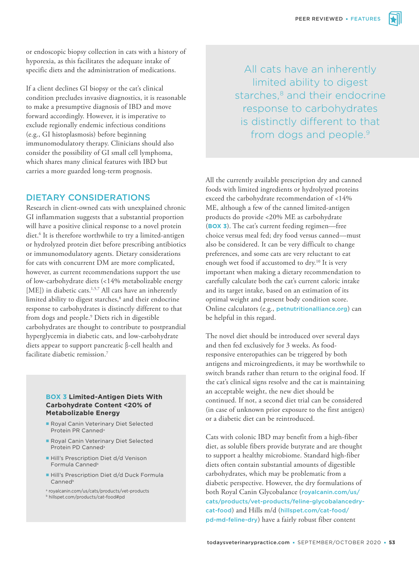or endoscopic biopsy collection in cats with a history of hyporexia, as this facilitates the adequate intake of specific diets and the administration of medications.

If a client declines GI biopsy or the cat's clinical condition precludes invasive diagnostics, it is reasonable to make a presumptive diagnosis of IBD and move forward accordingly. However, it is imperative to exclude regionally endemic infectious conditions (e.g., GI histoplasmosis) before beginning immunomodulatory therapy. Clinicians should also consider the possibility of GI small cell lymphoma, which shares many clinical features with IBD but carries a more guarded long-term prognosis.

## DIETARY CONSIDERATIONS

Research in client-owned cats with unexplained chronic GI inflammation suggests that a substantial proportion will have a positive clinical response to a novel protein diet.<sup>6</sup> It is therefore worthwhile to try a limited-antigen or hydrolyzed protein diet before prescribing antibiotics or immunomodulatory agents. Dietary considerations for cats with concurrent DM are more complicated, however, as current recommendations support the use of low-carbohydrate diets (<14% metabolizable energy [ME]) in diabetic cats. $1,5,7$  All cats have an inherently limited ability to digest starches,<sup>8</sup> and their endocrine response to carbohydrates is distinctly different to that from dogs and people.<sup>9</sup> Diets rich in digestible carbohydrates are thought to contribute to postprandial hyperglycemia in diabetic cats, and low-carbohydrate diets appear to support pancreatic β-cell health and facilitate diabetic remission.<sup>7</sup>

#### **BOX 3 Limited-Antigen Diets With Carbohydrate Content <20% of Metabolizable Energy**

- Royal Canin Veterinary Diet Selected Protein PR Canned<sup>a</sup>
- **Royal Canin Veterinary Diet Selected** Protein PD Canned<sup>a</sup>
- Hill's Prescription Diet d/d Venison Formula Canned<sup>b</sup>
- Hill's Prescription Diet d/d Duck Formula Canned<sup>b</sup>
- a royalcanin.com/us/cats/products/vet-products b hillspet.com/products/cat-food#pd
- 

All cats have an inherently limited ability to digest starches,<sup>8</sup> and their endocrine response to carbohydrates is distinctly different to that from dogs and people.<sup>9</sup>

All the currently available prescription dry and canned foods with limited ingredients or hydrolyzed proteins exceed the carbohydrate recommendation of <14% ME, although a few of the canned limited-antigen products do provide <20% ME as carbohydrate (**BOX 3**). The cat's current feeding regimen—free choice versus meal fed; dry food versus canned—must also be considered. It can be very difficult to change preferences, and some cats are very reluctant to eat enough wet food if accustomed to dry.<sup>10</sup> It is very important when making a dietary recommendation to carefully calculate both the cat's current caloric intake and its target intake, based on an estimation of its optimal weight and present body condition score. Online calculators (e.g., petnutritionalliance.org) can be helpful in this regard.

The novel diet should be introduced over several days and then fed exclusively for 3 weeks. As foodresponsive enteropathies can be triggered by both antigens and microingredients, it may be worthwhile to switch brands rather than return to the original food. If the cat's clinical signs resolve and the cat is maintaining an acceptable weight, the new diet should be continued. If not, a second diet trial can be considered (in case of unknown prior exposure to the first antigen) or a diabetic diet can be reintroduced.

Cats with colonic IBD may benefit from a high-fiber diet, as soluble fibers provide butyrate and are thought to support a healthy microbiome. Standard high-fiber diets often contain substantial amounts of digestible carbohydrates, which may be problematic from a diabetic perspective. However, the dry formulations of both Royal Canin Glycobalance (royalcanin.com/us/ cats/products/vet-products/feline-glycobalancedrycat-food) and Hills m/d (hillspet.com/cat-food/ pd-md-feline-dry) have a fairly robust fiber content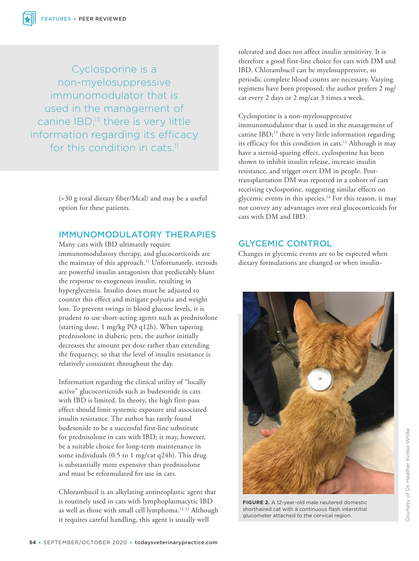Cyclosporine is a non-myelosuppressive immunomodulator that is used in the management of canine IBD;<sup>13</sup> there is very little information regarding its efficacy for this condition in cats.<sup>11</sup>

> (≈30 g total dietary fiber/Mcal) and may be a useful option for these patients.

## IMMUNOMODULATORY THERAPIES

Many cats with IBD ultimately require immunomodulatory therapy, and glucocorticoids are the mainstay of this approach.<sup>11</sup> Unfortunately, steroids are powerful insulin antagonists that predictably blunt the response to exogenous insulin, resulting in hyperglycemia. Insulin doses must be adjusted to counter this effect and mitigate polyuria and weight loss. To prevent swings in blood glucose levels, it is prudent to use short-acting agents such as prednisolone (starting dose, 1 mg/kg PO q12h). When tapering prednisolone in diabetic pets, the author initially decreases the amount per dose rather than extending the frequency, so that the level of insulin resistance is relatively consistent throughout the day.

Information regarding the clinical utility of "locally active" glucocorticoids such as budesonide in cats with IBD is limited. In theory, the high first-pass effect should limit systemic exposure and associated insulin resistance. The author has rarely found budesonide to be a successful first-line substitute for prednisolone in cats with IBD; it may, however, be a suitable choice for long-term maintenance in some individuals (0.5 to 1 mg/cat q24h). This drug is substantially more expensive than prednisolone and must be reformulated for use in cats.

Chlorambucil is an alkylating antineoplastic agent that is routinely used in cats with lymphoplasmacytic IBD as well as those with small cell lymphoma.<sup>11,12</sup> Although it requires careful handling, this agent is usually well

tolerated and does not affect insulin sensitivity. It is therefore a good first-line choice for cats with DM and IBD. Chlorambucil can be myelosuppressive, so periodic complete blood counts are necessary. Varying regimens have been proposed; the author prefers 2 mg/ cat every 2 days or 2 mg/cat 3 times a week.

## Cyclosporine is a non-myelosuppressive

immunomodulator that is used in the management of canine IBD;<sup>13</sup> there is very little information regarding its efficacy for this condition in cats.<sup>11</sup> Although it may have a steroid-sparing effect, cyclosporine has been shown to inhibit insulin release, increase insulin resistance, and trigger overt DM in people. Posttransplantation DM was reported in a cohort of cats receiving cyclosporine, suggesting similar effects on glycemic events in this species.<sup>14</sup> For this reason, it may not convey any advantages over oral glucocorticoids for cats with DM and IBD.

# GLYCEMIC CONTROL

Changes in glycemic events are to be expected when dietary formulations are changed or when insulin-



**FIGURE 2.** A 12-year-old male neutered domestic shorthaired cat with a continuous flash interstitial glucometer attached to the cervical region.